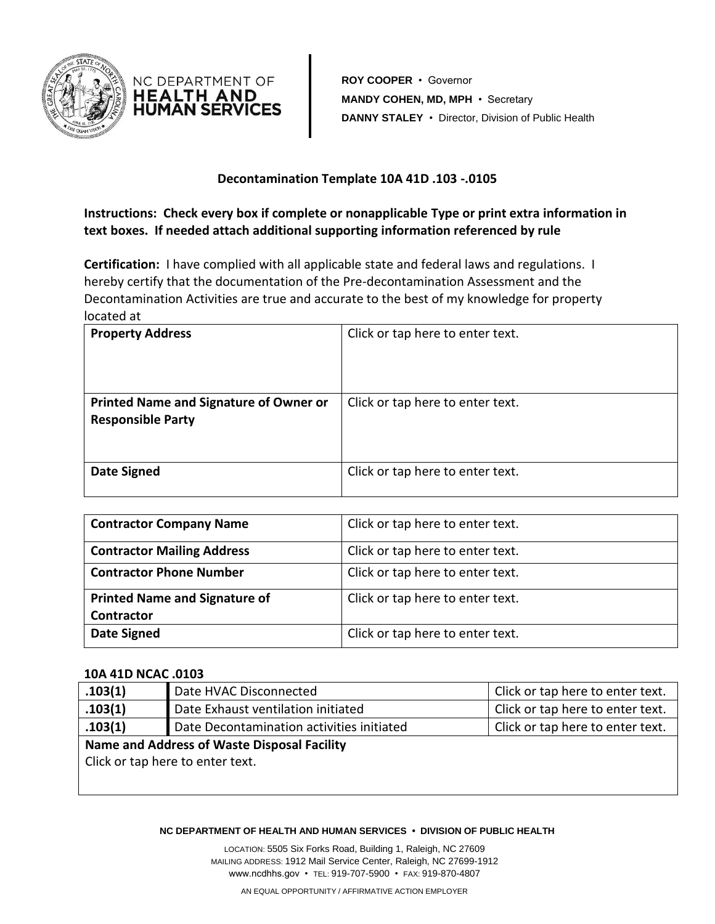



**ROY COOPER** • Governor **MANDY COHEN, MD, MPH** • Secretary **DANNY STALEY** • Director, Division of Public Health

## **Decontamination Template 10A 41D .103 -.0105**

**Instructions: Check every box if complete or nonapplicable Type or print extra information in text boxes. If needed attach additional supporting information referenced by rule** 

**Certification:** I have complied with all applicable state and federal laws and regulations. I hereby certify that the documentation of the Pre-decontamination Assessment and the Decontamination Activities are true and accurate to the best of my knowledge for property located at

| <b>Property Address</b>                                                   | Click or tap here to enter text. |
|---------------------------------------------------------------------------|----------------------------------|
| <b>Printed Name and Signature of Owner or</b><br><b>Responsible Party</b> | Click or tap here to enter text. |
| <b>Date Signed</b>                                                        | Click or tap here to enter text. |

| <b>Contractor Company Name</b>                            | Click or tap here to enter text. |
|-----------------------------------------------------------|----------------------------------|
| <b>Contractor Mailing Address</b>                         | Click or tap here to enter text. |
| <b>Contractor Phone Number</b>                            | Click or tap here to enter text. |
| <b>Printed Name and Signature of</b><br><b>Contractor</b> | Click or tap here to enter text. |
| <b>Date Signed</b>                                        | Click or tap here to enter text. |

## **10A 41D NCAC .0103**

| .103(1)                                     | Date HVAC Disconnected                    | Click or tap here to enter text. |  |
|---------------------------------------------|-------------------------------------------|----------------------------------|--|
| .103(1)                                     | Date Exhaust ventilation initiated        | Click or tap here to enter text. |  |
| .103(1)                                     | Date Decontamination activities initiated | Click or tap here to enter text. |  |
| Name and Address of Waste Disposal Facility |                                           |                                  |  |
| Click or tap here to enter text.            |                                           |                                  |  |
|                                             |                                           |                                  |  |
|                                             |                                           |                                  |  |

## **NC DEPARTMENT OF HEALTH AND HUMAN SERVICES • DIVISION OF PUBLIC HEALTH**

LOCATION: 5505 Six Forks Road, Building 1, Raleigh, NC 27609 MAILING ADDRESS: 1912 Mail Service Center, Raleigh, NC 27699-1912 www.ncdhhs.gov • TEL: 919-707-5900 • FAX: 919-870-4807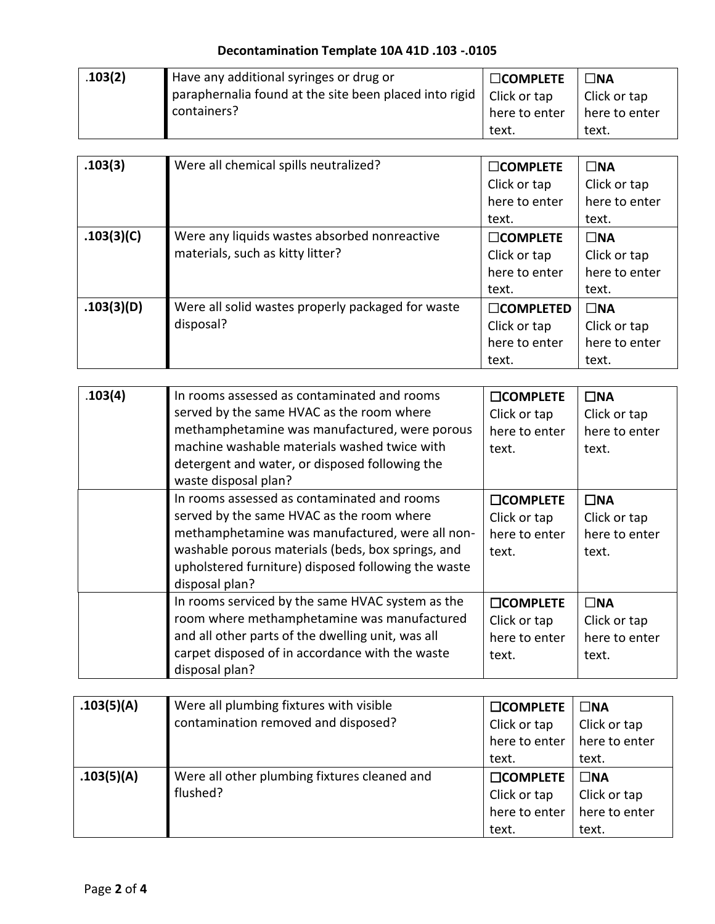| .103(2) | Have any additional syringes or drug or                | $\Box$ COMPLETE | $\n  7$ NA    |
|---------|--------------------------------------------------------|-----------------|---------------|
|         | paraphernalia found at the site been placed into rigid | Click or tap    | Click or tap  |
|         | containers?                                            | here to enter   | here to enter |
|         |                                                        | text.           | text.         |

| .103(3)    | Were all chemical spills neutralized?             | $\Box$ COMPLETE  | $\square$ NA  |
|------------|---------------------------------------------------|------------------|---------------|
|            |                                                   | Click or tap     | Click or tap  |
|            |                                                   | here to enter    | here to enter |
|            |                                                   | text.            | text.         |
| .103(3)(C) | Were any liquids wastes absorbed nonreactive      | $\Box$ COMPLETE  | $\square$ NA  |
|            | materials, such as kitty litter?                  | Click or tap     | Click or tap  |
|            |                                                   | here to enter    | here to enter |
|            |                                                   | text.            | text.         |
| .103(3)(D) | Were all solid wastes properly packaged for waste | $\Box$ COMPLETED | $\square$ NA  |
|            | disposal?                                         | Click or tap     | Click or tap  |
|            |                                                   | here to enter    | here to enter |
|            |                                                   | text.            | text.         |

| .103(4) | In rooms assessed as contaminated and rooms<br>served by the same HVAC as the room where<br>methamphetamine was manufactured, were porous<br>machine washable materials washed twice with<br>detergent and water, or disposed following the<br>waste disposal plan?       | <b>COMPLETE</b><br>Click or tap<br>here to enter<br>text. | $\square$ NA<br>Click or tap<br>here to enter<br>text. |
|---------|---------------------------------------------------------------------------------------------------------------------------------------------------------------------------------------------------------------------------------------------------------------------------|-----------------------------------------------------------|--------------------------------------------------------|
|         | In rooms assessed as contaminated and rooms<br>served by the same HVAC as the room where<br>methamphetamine was manufactured, were all non-<br>washable porous materials (beds, box springs, and<br>upholstered furniture) disposed following the waste<br>disposal plan? | <b>COMPLETE</b><br>Click or tap<br>here to enter<br>text. | $\square$ NA<br>Click or tap<br>here to enter<br>text. |
|         | In rooms serviced by the same HVAC system as the<br>room where methamphetamine was manufactured<br>and all other parts of the dwelling unit, was all<br>carpet disposed of in accordance with the waste<br>disposal plan?                                                 | <b>COMPLETE</b><br>Click or tap<br>here to enter<br>text. | $\square$ NA<br>Click or tap<br>here to enter<br>text. |

| .103(5)(A) | Were all plumbing fixtures with visible      | <b>COMPLETE</b> | $\square$ NA  |
|------------|----------------------------------------------|-----------------|---------------|
|            | contamination removed and disposed?          | Click or tap    | Click or tap  |
|            |                                              | here to enter   | here to enter |
|            |                                              | text.           | text.         |
| .103(5)(A) | Were all other plumbing fixtures cleaned and | <b>COMPLETE</b> | $\square$ NA  |
|            | flushed?                                     | Click or tap    | Click or tap  |
|            |                                              | here to enter   | here to enter |
|            |                                              | text.           | text.         |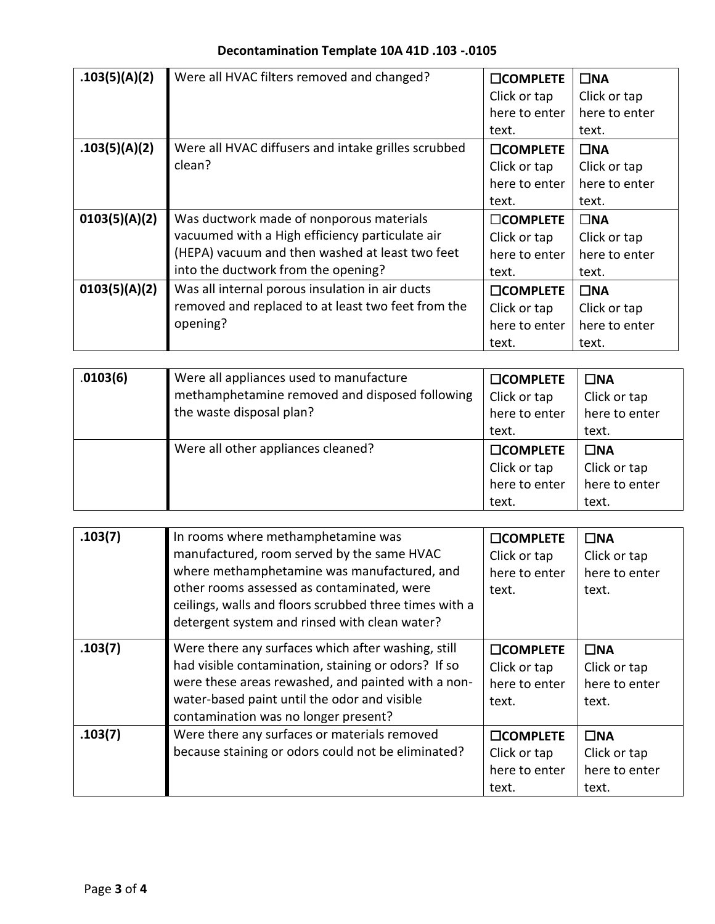| .103(5)(A)(2) | Were all HVAC filters removed and changed?          | <b>COMPLETE</b> | $\square$ NA  |
|---------------|-----------------------------------------------------|-----------------|---------------|
|               |                                                     | Click or tap    | Click or tap  |
|               |                                                     | here to enter   | here to enter |
|               |                                                     | text.           | text.         |
| .103(5)(A)(2) | Were all HVAC diffusers and intake grilles scrubbed | <b>COMPLETE</b> | $\square$ NA  |
|               | clean?                                              | Click or tap    | Click or tap  |
|               |                                                     | here to enter   | here to enter |
|               |                                                     | text.           | text.         |
| 0103(5)(A)(2) | Was ductwork made of nonporous materials            | $\Box$ COMPLETE | $\square$ NA  |
|               | vacuumed with a High efficiency particulate air     | Click or tap    | Click or tap  |
|               | (HEPA) vacuum and then washed at least two feet     | here to enter   | here to enter |
|               | into the ductwork from the opening?                 | text.           | text.         |
| 0103(5)(A)(2) | Was all internal porous insulation in air ducts     | <b>COMPLETE</b> | $\square$ NA  |
|               | removed and replaced to at least two feet from the  | Click or tap    | Click or tap  |
|               | opening?                                            | here to enter   | here to enter |
|               |                                                     | text.           | text.         |

| .0103(6) | Were all appliances used to manufacture<br>methamphetamine removed and disposed following<br>the waste disposal plan? | $\square$ COMPLETE<br>Click or tap<br>here to enter<br>text. | $\square$ NA<br>Click or tap<br>here to enter<br>text. |
|----------|-----------------------------------------------------------------------------------------------------------------------|--------------------------------------------------------------|--------------------------------------------------------|
|          | Were all other appliances cleaned?                                                                                    | $\Box$ COMPLETE<br>Click or tap<br>here to enter<br>text.    | $\square$ NA<br>Click or tap<br>here to enter<br>text. |

| .103(7) | In rooms where methamphetamine was<br>manufactured, room served by the same HVAC<br>where methamphetamine was manufactured, and<br>other rooms assessed as contaminated, were<br>ceilings, walls and floors scrubbed three times with a<br>detergent system and rinsed with clean water? | <b>COMPLETE</b><br>Click or tap<br>here to enter<br>text. | $\square$ NA<br>Click or tap<br>here to enter<br>text. |
|---------|------------------------------------------------------------------------------------------------------------------------------------------------------------------------------------------------------------------------------------------------------------------------------------------|-----------------------------------------------------------|--------------------------------------------------------|
| .103(7) | Were there any surfaces which after washing, still<br>had visible contamination, staining or odors? If so<br>were these areas rewashed, and painted with a non-<br>water-based paint until the odor and visible<br>contamination was no longer present?                                  | <b>COMPLETE</b><br>Click or tap<br>here to enter<br>text. | $\square$ NA<br>Click or tap<br>here to enter<br>text. |
| .103(7) | Were there any surfaces or materials removed<br>because staining or odors could not be eliminated?                                                                                                                                                                                       | <b>COMPLETE</b><br>Click or tap<br>here to enter<br>text. | $\Box$ NA<br>Click or tap<br>here to enter<br>text.    |